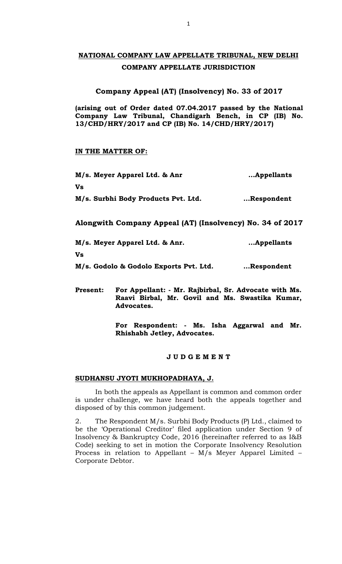# **NATIONAL COMPANY LAW APPELLATE TRIBUNAL, NEW DELHI COMPANY APPELLATE JURISDICTION**

## **Company Appeal (AT) (Insolvency) No. 33 of 2017**

**(arising out of Order dated 07.04.2017 passed by the National Company Law Tribunal, Chandigarh Bench, in CP (IB) No. 13/CHD/HRY/2017 and CP (IB) No. 14/CHD/HRY/2017)** 

## **IN THE MATTER OF:**

| M/s. Meyer Apparel Ltd. & Anr<br>Vs<br>M/s. Surbhi Body Products Pvt. Ltd. | Appellants<br>Respondent |
|----------------------------------------------------------------------------|--------------------------|
|----------------------------------------------------------------------------|--------------------------|

**Alongwith Company Appeal (AT) (Insolvency) No. 34 of 2017**

**M/s. Meyer Apparel Ltd. & Anr. …Appellants Vs M/s. Godolo & Godolo Exports Pvt. Ltd. …Respondent**

**Present: For Appellant: - Mr. Rajbirbal, Sr. Advocate with Ms. Raavi Birbal, Mr. Govil and Ms. Swastika Kumar, Advocates.**

> **For Respondent: - Ms. Isha Aggarwal and Mr. Rhishabh Jetley, Advocates.**

## **J U D G E M E N T**

## **SUDHANSU JYOTI MUKHOPADHAYA, J.**

In both the appeals as Appellant is common and common order is under challenge, we have heard both the appeals together and disposed of by this common judgement.

2. The Respondent M/s. Surbhi Body Products (P) Ltd., claimed to be the 'Operational Creditor' filed application under Section 9 of Insolvency & Bankruptcy Code, 2016 (hereinafter referred to as I&B Code) seeking to set in motion the Corporate Insolvency Resolution Process in relation to Appellant – M/s Meyer Apparel Limited – Corporate Debtor.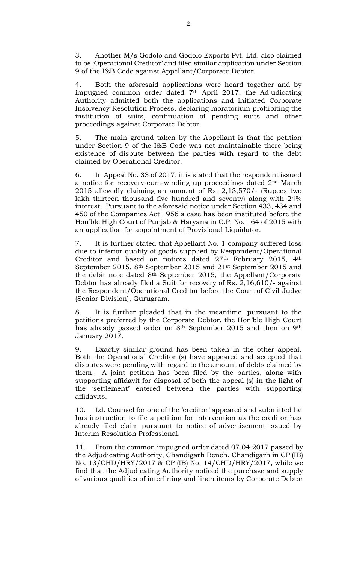3. Another M/s Godolo and Godolo Exports Pvt. Ltd. also claimed to be 'Operational Creditor' and filed similar application under Section 9 of the I&B Code against Appellant/Corporate Debtor.

4. Both the aforesaid applications were heard together and by impugned common order dated 7th April 2017, the Adjudicating Authority admitted both the applications and initiated Corporate Insolvency Resolution Process, declaring moratorium prohibiting the institution of suits, continuation of pending suits and other proceedings against Corporate Debtor.

5. The main ground taken by the Appellant is that the petition under Section 9 of the I&B Code was not maintainable there being existence of dispute between the parties with regard to the debt claimed by Operational Creditor.

6. In Appeal No. 33 of 2017, it is stated that the respondent issued a notice for recovery-cum-winding up proceedings dated 2nd March 2015 allegedly claiming an amount of Rs. 2,13,570/- (Rupees two lakh thirteen thousand five hundred and seventy) along with 24% interest. Pursuant to the aforesaid notice under Section 433, 434 and 450 of the Companies Act 1956 a case has been instituted before the Hon'ble High Court of Punjab & Haryana in C.P. No. 164 of 2015 with an application for appointment of Provisional Liquidator.

7. It is further stated that Appellant No. 1 company suffered loss due to inferior quality of goods supplied by Respondent/Operational Creditor and based on notices dated 27<sup>th</sup> February 2015, 4<sup>th</sup> September 2015, 8th September 2015 and 21st September 2015 and the debit note dated 8th September 2015, the Appellant/Corporate Debtor has already filed a Suit for recovery of Rs. 2,16,610/- against the Respondent/Operational Creditor before the Court of Civil Judge (Senior Division), Gurugram.

8. It is further pleaded that in the meantime, pursuant to the petitions preferred by the Corporate Debtor, the Hon'ble High Court has already passed order on 8<sup>th</sup> September 2015 and then on 9<sup>th</sup> January 2017.

9. Exactly similar ground has been taken in the other appeal. Both the Operational Creditor (s) have appeared and accepted that disputes were pending with regard to the amount of debts claimed by them. A joint petition has been filed by the parties, along with supporting affidavit for disposal of both the appeal (s) in the light of the 'settlement' entered between the parties with supporting affidavits.

10. Ld. Counsel for one of the 'creditor' appeared and submitted he has instruction to file a petition for intervention as the creditor has already filed claim pursuant to notice of advertisement issued by Interim Resolution Professional.

11. From the common impugned order dated 07.04.2017 passed by the Adjudicating Authority, Chandigarh Bench, Chandigarh in CP (IB) No. 13/CHD/HRY/2017 & CP (IB) No. 14/CHD/HRY/2017, while we find that the Adjudicating Authority noticed the purchase and supply of various qualities of interlining and linen items by Corporate Debtor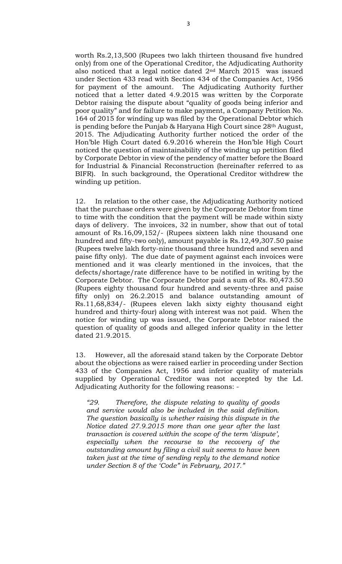worth Rs.2,13,500 (Rupees two lakh thirteen thousand five hundred only) from one of the Operational Creditor, the Adjudicating Authority also noticed that a legal notice dated 2nd March 2015 was issued under Section 433 read with Section 434 of the Companies Act, 1956 for payment of the amount. The Adjudicating Authority further noticed that a letter dated 4.9.2015 was written by the Corporate Debtor raising the dispute about "quality of goods being inferior and poor quality" and for failure to make payment, a Company Petition No. 164 of 2015 for winding up was filed by the Operational Debtor which is pending before the Punjab & Haryana High Court since 28th August, 2015. The Adjudicating Authority further noticed the order of the Hon'ble High Court dated 6.9.2016 wherein the Hon'ble High Court noticed the question of maintainability of the winding up petition filed by Corporate Debtor in view of the pendency of matter before the Board for Industrial & Financial Reconstruction (hereinafter referred to as BIFR). In such background, the Operational Creditor withdrew the winding up petition.

12. In relation to the other case, the Adjudicating Authority noticed that the purchase orders were given by the Corporate Debtor from time to time with the condition that the payment will be made within sixty days of delivery. The invoices, 32 in number, show that out of total amount of Rs.16,09,152/- (Rupees sixteen lakh nine thousand one hundred and fifty-two only), amount payable is Rs.12,49,307.50 paise (Rupees twelve lakh forty-nine thousand three hundred and seven and paise fifty only). The due date of payment against each invoices were mentioned and it was clearly mentioned in the invoices, that the defects/shortage/rate difference have to be notified in writing by the Corporate Debtor. The Corporate Debtor paid a sum of Rs. 80,473.50 (Rupees eighty thousand four hundred and seventy-three and paise fifty only) on 26.2.2015 and balance outstanding amount of Rs.11,68,834/- (Rupees eleven lakh sixty eighty thousand eight hundred and thirty-four) along with interest was not paid. When the notice for winding up was issued, the Corporate Debtor raised the question of quality of goods and alleged inferior quality in the letter dated 21.9.2015.

13. However, all the aforesaid stand taken by the Corporate Debtor about the objections as were raised earlier in proceeding under Section 433 of the Companies Act, 1956 and inferior quality of materials supplied by Operational Creditor was not accepted by the Ld. Adjudicating Authority for the following reasons: -

*"29. Therefore, the dispute relating to quality of goods and service would also be included in the said definition. The question basically is whether raising this dispute in the Notice dated 27.9.2015 more than one year after the last transaction is covered within the scope of the term 'dispute', especially when the recourse to the recovery of the outstanding amount by filing a civil suit seems to have been taken just at the time of sending reply to the demand notice under Section 8 of the 'Code" in February, 2017."*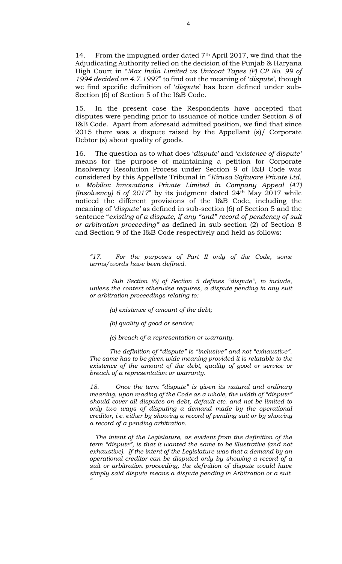14. From the impugned order dated 7<sup>th</sup> April 2017, we find that the Adjudicating Authority relied on the decision of the Punjab & Haryana High Court in "*Max India Limited vs Unicoat Tapes (P) CP No. 99 of 1994 decided on 4.7.1997*" to find out the meaning of '*dispute*', though we find specific definition of '*dispute*' has been defined under sub-Section (6) of Section 5 of the I&B Code.

15. In the present case the Respondents have accepted that disputes were pending prior to issuance of notice under Section 8 of I&B Code. Apart from aforesaid admitted position, we find that since 2015 there was a dispute raised by the Appellant (s)/ Corporate Debtor (s) about quality of goods.

16. The question as to what does '*dispute*' and '*existence of dispute'* means for the purpose of maintaining a petition for Corporate Insolvency Resolution Process under Section 9 of I&B Code was considered by this Appellate Tribunal in "*Kirusa Software Private Ltd. v. Mobilox Innovations Private Limited in Company Appeal (AT) (Insolvency) 6 of 2017*" by its judgment dated 24<sup>th</sup> May 2017 while noticed the different provisions of the I&B Code, including the meaning of '*dispute'* as defined in sub-section (6) of Section 5 and the sentence "*existing of a dispute, if any "and" record of pendency of suit or arbitration proceeding"* as defined in sub-section (2) of Section 8 and Section 9 of the I&B Code respectively and held as follows: -

*"17. For the purposes of Part II only of the Code, some terms/words have been defined.*

*Sub Section (6) of Section 5 defines "dispute", to include, unless the context otherwise requires, a dispute pending in any suit or arbitration proceedings relating to:*

*(a) existence of amount of the debt;*

*(b) quality of good or service;*

*(c) breach of a representation or warranty.*

*The definition of "dispute" is "inclusive" and not "exhaustive". The same has to be given wide meaning provided it is relatable to the existence of the amount of the debt, quality of good or service or breach of a representation or warranty.*

*18. Once the term "dispute" is given its natural and ordinary meaning, upon reading of the Code as a whole, the width of "dispute" should cover all disputes on debt, default etc. and not be limited to only two ways of disputing a demand made by the operational creditor, i.e. either by showing a record of pending suit or by showing a record of a pending arbitration.*

*The intent of the Legislature, as evident from the definition of the term "dispute", is that it wanted the same to be illustrative (and not exhaustive). If the intent of the Legislature was that a demand by an operational creditor can be disputed only by showing a record of a suit or arbitration proceeding, the definition of dispute would have simply said dispute means a dispute pending in Arbitration or a suit. "*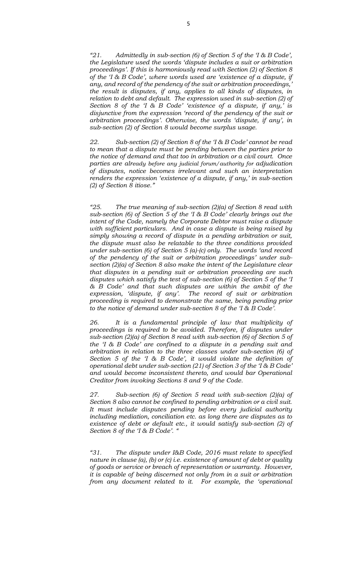*"21. Admittedly in sub-section (6) of Section 5 of the 'I & B Code', the Legislature used the words 'dispute includes a suit or arbitration proceedings'. If this is harmoniously read with Section (2) of Section 8 of the 'I & B Code', where words used are 'existence of a dispute, if any, and record of the pendency of the suit or arbitration proceedings,' the result is disputes, if any, applies to all kinds of disputes, in relation to debt and default. The expression used in sub-section (2) of Section 8 of the 'I & B Code' 'existence of a dispute, if any,' is disjunctive from the expression 'record of the pendency of the suit or arbitration proceedings'. Otherwise, the words 'dispute, if any', in sub-section (2) of Section 8 would become surplus usage.*

*22. Sub-section (2) of Section 8 of the 'I & B Code' cannot be read to mean that a dispute must be pending between the parties prior to the notice of demand and that too in arbitration or a civil court. Once parties are already before any judicial forum/authority for adjudication of disputes, notice becomes irrelevant and such an interpretation renders the expression 'existence of a dispute, if any,' in sub-section (2) of Section 8 itiose."*

*"25. The true meaning of sub-section (2)(a) of Section 8 read with sub-section (6) of Section 5 of the 'I & B Code' clearly brings out the intent of the Code, namely the Corporate Debtor must raise a dispute with sufficient particulars. And in case a dispute is being raised by simply showing a record of dispute in a pending arbitration or suit, the dispute must also be relatable to the three conditions provided under sub-section (6) of Section 5 (a)-(c) only. The words 'and record of the pendency of the suit or arbitration proceedings' under subsection (2)(a) of Section 8 also make the intent of the Legislature clear that disputes in a pending suit or arbitration proceeding are such disputes which satisfy the test of sub-section (6) of Section 5 of the 'I & B Code' and that such disputes are within the ambit of the expression, 'dispute, if any'. The record of suit or arbitration proceeding is required to demonstrate the same, being pending prior to the notice of demand under sub-section 8 of the 'I & B Code'.*

*26. It is a fundamental principle of law that multiplicity of proceedings is required to be avoided. Therefore, if disputes under sub-section (2)(a) of Section 8 read with sub-section (6) of Section 5 of the 'I & B Code' are confined to a dispute in a pending suit and arbitration in relation to the three classes under sub-section (6) of Section 5 of the 'I & B Code', it would violate the definition of operational debt under sub-section (21) of Section 3 of the 'I & B Code' and would become inconsistent thereto, and would bar Operational Creditor from invoking Sections 8 and 9 of the Code.*

*27. Sub-section (6) of Section 5 read with sub-section (2)(a) of Section 8 also cannot be confined to pending arbitration or a civil suit. It must include disputes pending before every judicial authority including mediation, conciliation etc. as long there are disputes as to existence of debt or default etc., it would satisfy sub-section (2) of Section 8 of the 'I & B Code'. "*

*"31. The dispute under I&B Code, 2016 must relate to specified nature in clause (a), (b) or (c) i.e. existence of amount of debt or quality of goods or service or breach of representation or warranty. However, it is capable of being discerned not only from in a suit or arbitration from any document related to it. For example, the 'operational*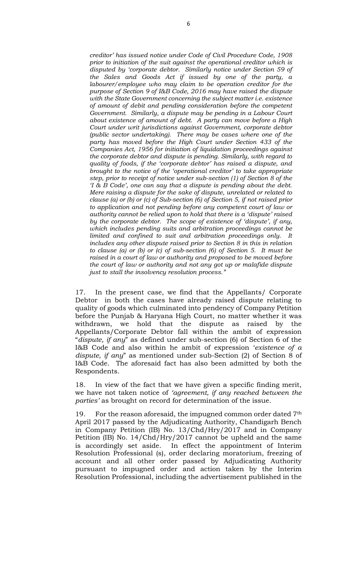*creditor' has issued notice under Code of Civil Procedure Code, 1908 prior to initiation of the suit against the operational creditor which is disputed by 'corporate debtor. Similarly notice under Section 59 of the Sales and Goods Act if issued by one of the party, a labourer/employee who may claim to be operation creditor for the purpose of Section 9 of I&B Code, 2016 may have raised the dispute with the State Government concerning the subject matter i.e. existence of amount of debit and pending consideration before the competent Government. Similarly, a dispute may be pending in a Labour Court about existence of amount of debt. A party can move before a High Court under writ jurisdictions against Government, corporate debtor (public sector undertaking). There may be cases where one of the party has moved before the High Court under Section 433 of the Companies Act, 1956 for initiation of liquidation proceedings against the corporate debtor and dispute is pending. Similarly, with regard to quality of foods, if the 'corporate debtor' has raised a dispute, and brought to the notice of the 'operational creditor' to take appropriate step, prior to receipt of notice under sub-section (1) of Section 8 of the 'I & B Code', one can say that a dispute is pending about the debt. Mere raising a dispute for the sake of dispute, unrelated or related to clause (a) or (b) or (c) of Sub-section (6) of Section 5, if not raised prior to application and not pending before any competent court of law or authority cannot be relied upon to hold that there is a 'dispute' raised by the corporate debtor. The scope of existence of 'dispute', if any, which includes pending suits and arbitration proceedings cannot be limited and confined to suit and arbitration proceedings only. It includes any other dispute raised prior to Section 8 in this in relation to clause (a) or (b) or (c) of sub-section (6) of Section 5. It must be raised in a court of law or authority and proposed to be moved before the court of law or authority and not any got up or malafide dispute just to stall the insolvency resolution process."*

17. In the present case, we find that the Appellants/ Corporate Debtor in both the cases have already raised dispute relating to quality of goods which culminated into pendency of Company Petition before the Punjab & Haryana High Court, no matter whether it was withdrawn, we hold that the dispute as raised by the Appellants/Corporate Debtor fall within the ambit of expression "*dispute, if any*" as defined under sub-section (6) of Section 6 of the I&B Code and also within he ambit of expression '*existence of a dispute, if any*" as mentioned under sub-Section (2) of Section 8 of I&B Code. The aforesaid fact has also been admitted by both the Respondents.

18. In view of the fact that we have given a specific finding merit, we have not taken notice of *'agreement, if any reached between the parties'* as brought on record for determination of the issue.

19. For the reason aforesaid, the impugned common order dated 7<sup>th</sup> April 2017 passed by the Adjudicating Authority, Chandigarh Bench in Company Petition (IB) No. 13/Chd/Hry/2017 and in Company Petition (IB) No. 14/Chd/Hry/2017 cannot be upheld and the same is accordingly set aside. In effect the appointment of Interim Resolution Professional (s), order declaring moratorium, freezing of account and all other order passed by Adjudicating Authority pursuant to impugned order and action taken by the Interim Resolution Professional, including the advertisement published in the